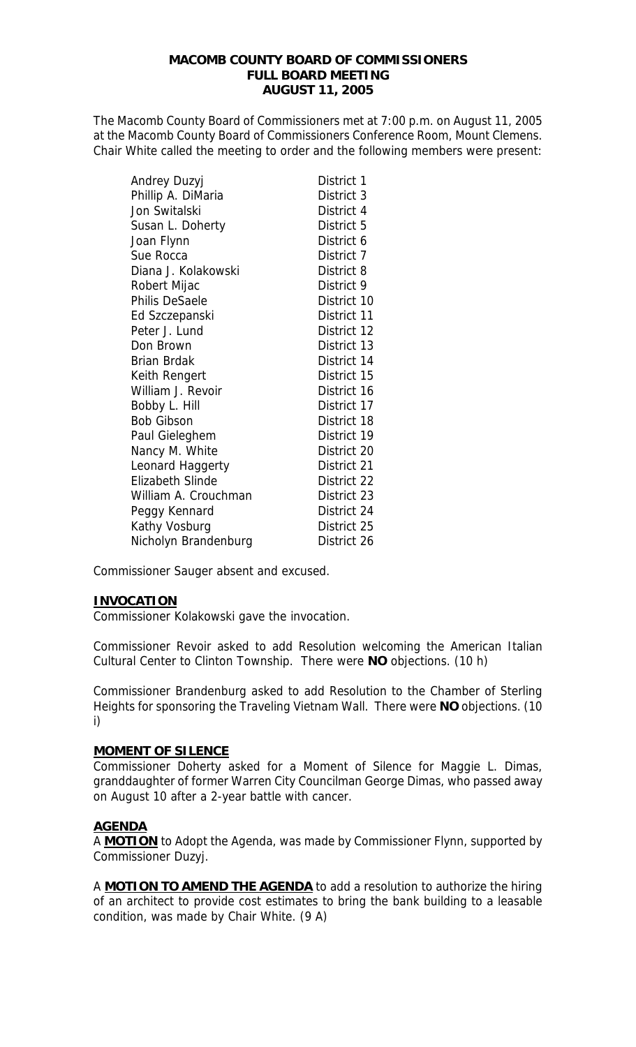## **MACOMB COUNTY BOARD OF COMMISSIONERS FULL BOARD MEETING AUGUST 11, 2005**

The Macomb County Board of Commissioners met at 7:00 p.m. on August 11, 2005 at the Macomb County Board of Commissioners Conference Room, Mount Clemens. Chair White called the meeting to order and the following members were present:

| Andrey Duzyj            | District 1  |
|-------------------------|-------------|
| Phillip A. DiMaria      | District 3  |
| Jon Switalski           | District 4  |
| Susan L. Doherty        | District 5  |
| Joan Flynn              | District 6  |
| Sue Rocca               | District 7  |
| Diana J. Kolakowski     | District 8  |
| Robert Mijac            | District 9  |
| Philis DeSaele          | District 10 |
| Ed Szczepanski          | District 11 |
| Peter J. Lund           | District 12 |
| Don Brown               | District 13 |
| <b>Brian Brdak</b>      | District 14 |
| Keith Rengert           | District 15 |
| William J. Revoir       | District 16 |
| Bobby L. Hill           | District 17 |
| <b>Bob Gibson</b>       | District 18 |
| Paul Gieleghem          | District 19 |
| Nancy M. White          | District 20 |
| Leonard Haggerty        | District 21 |
| <b>Elizabeth Slinde</b> | District 22 |
| William A. Crouchman    | District 23 |
| Peggy Kennard           | District 24 |
| Kathy Vosburg           | District 25 |
| Nicholyn Brandenburg    | District 26 |

Commissioner Sauger absent and excused.

## **INVOCATION**

Commissioner Kolakowski gave the invocation.

Commissioner Revoir asked to add Resolution welcoming the American Italian Cultural Center to Clinton Township. There were **NO** objections. (10 h)

Commissioner Brandenburg asked to add Resolution to the Chamber of Sterling Heights for sponsoring the Traveling Vietnam Wall. There were **NO** objections. (10 i)

### **MOMENT OF SILENCE**

Commissioner Doherty asked for a Moment of Silence for Maggie L. Dimas, granddaughter of former Warren City Councilman George Dimas, who passed away on August 10 after a 2-year battle with cancer.

## **AGENDA**

A **MOTION** to Adopt the Agenda, was made by Commissioner Flynn, supported by Commissioner Duzyj.

A **MOTION TO AMEND THE AGENDA** to add a resolution to authorize the hiring of an architect to provide cost estimates to bring the bank building to a leasable condition, was made by Chair White. (9 A)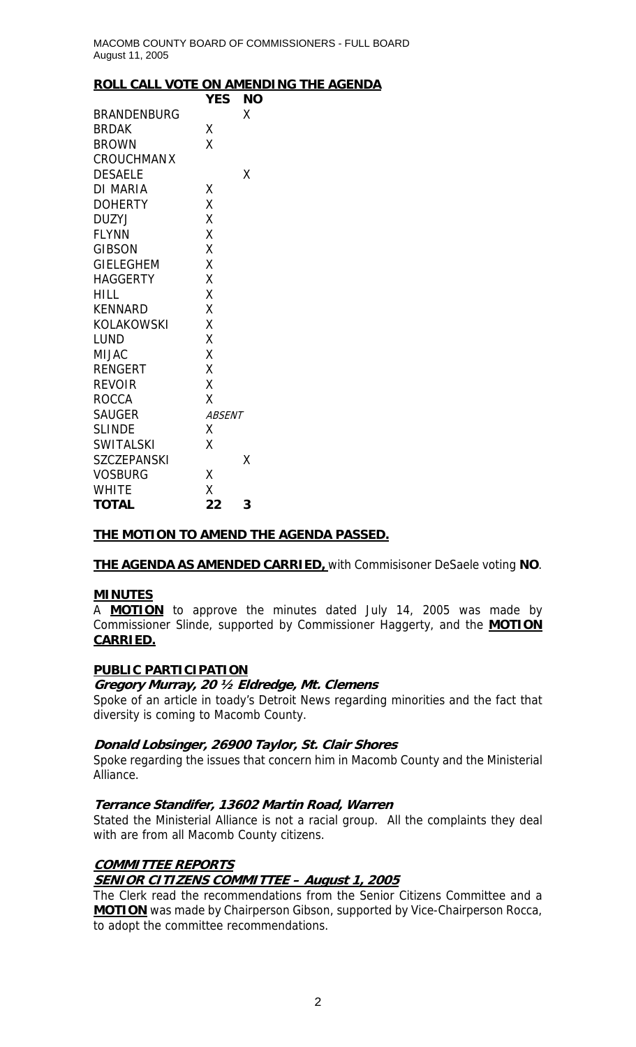### **ROLL CALL VOTE ON AMENDING THE AGENDA**

|                    | YES           | <b>NO</b> |
|--------------------|---------------|-----------|
| <b>BRANDENBURG</b> |               | Χ         |
| <b>BRDAK</b>       | Χ             |           |
| <b>BROWN</b>       | X             |           |
| <b>CROUCHMANX</b>  |               |           |
| <b>DESAELE</b>     |               | Χ         |
| <b>DI MARIA</b>    | Χ             |           |
| <b>DOHERTY</b>     | X             |           |
| <b>DUZYJ</b>       | Χ             |           |
| <b>FLYNN</b>       | X             |           |
| GIBSON             | Χ             |           |
| <b>GIELEGHEM</b>   | X             |           |
| <b>HAGGERTY</b>    | X             |           |
| HILL               | Χ             |           |
| <b>KENNARD</b>     | X             |           |
| KOLAKOWSKI         | X             |           |
| LUND               | Χ             |           |
| <b>MIJAC</b>       | Χ             |           |
| <b>RENGERT</b>     | X             |           |
| <b>REVOIR</b>      | X             |           |
| ROCCA              | X             |           |
| <b>SAUGER</b>      | <b>ABSENT</b> |           |
| <b>SLINDE</b>      | Χ             |           |
| <b>SWITALSKI</b>   | Χ             |           |
| <b>SZCZEPANSKI</b> |               | Χ         |
| <b>VOSBURG</b>     | Χ             |           |
| <b>WHITE</b>       | X             |           |
| <b>TOTAL</b>       | 22            | 3         |

## **THE MOTION TO AMEND THE AGENDA PASSED.**

**THE AGENDA AS AMENDED CARRIED,** with Commisisoner DeSaele voting **NO**.

### **MINUTES**

A **MOTION** to approve the minutes dated July 14, 2005 was made by Commissioner Slinde, supported by Commissioner Haggerty, and the **MOTION CARRIED.**

## **PUBLIC PARTICIPATION**

### **Gregory Murray, 20 ½ Eldredge, Mt. Clemens**

Spoke of an article in toady's Detroit News regarding minorities and the fact that diversity is coming to Macomb County.

### **Donald Lobsinger, 26900 Taylor, St. Clair Shores**

Spoke regarding the issues that concern him in Macomb County and the Ministerial Alliance.

### **Terrance Standifer, 13602 Martin Road, Warren**

Stated the Ministerial Alliance is not a racial group. All the complaints they deal with are from all Macomb County citizens.

## **COMMITTEE REPORTS**

## **SENIOR CITIZENS COMMITTEE – August 1, 2005**

The Clerk read the recommendations from the Senior Citizens Committee and a **MOTION** was made by Chairperson Gibson, supported by Vice-Chairperson Rocca, to adopt the committee recommendations.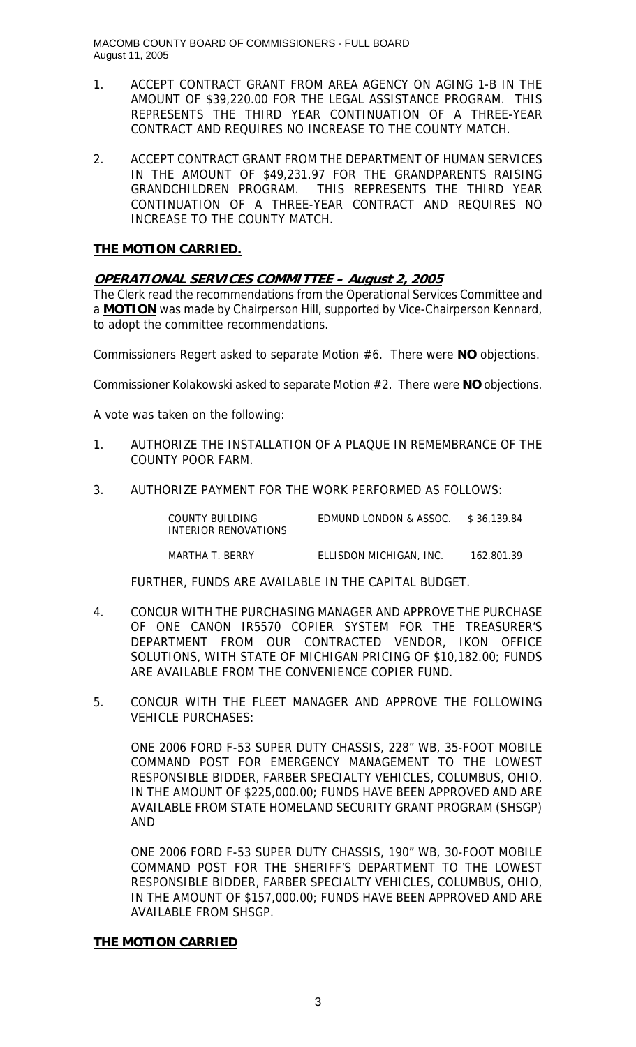MACOMB COUNTY BOARD OF COMMISSIONERS - FULL BOARD August 11, 2005

- 1. ACCEPT CONTRACT GRANT FROM AREA AGENCY ON AGING 1-B IN THE AMOUNT OF \$39,220.00 FOR THE LEGAL ASSISTANCE PROGRAM. THIS REPRESENTS THE THIRD YEAR CONTINUATION OF A THREE-YEAR CONTRACT AND REQUIRES NO INCREASE TO THE COUNTY MATCH.
- 2. ACCEPT CONTRACT GRANT FROM THE DEPARTMENT OF HUMAN SERVICES IN THE AMOUNT OF \$49,231.97 FOR THE GRANDPARENTS RAISING GRANDCHILDREN PROGRAM. THIS REPRESENTS THE THIRD YEAR CONTINUATION OF A THREE-YEAR CONTRACT AND REQUIRES NO INCREASE TO THE COUNTY MATCH.

## **THE MOTION CARRIED.**

## **OPERATIONAL SERVICES COMMITTEE – August 2, 2005**

The Clerk read the recommendations from the Operational Services Committee and a **MOTION** was made by Chairperson Hill, supported by Vice-Chairperson Kennard, to adopt the committee recommendations.

Commissioners Regert asked to separate Motion #6. There were **NO** objections.

Commissioner Kolakowski asked to separate Motion #2. There were **NO** objections.

A vote was taken on the following:

- 1. AUTHORIZE THE INSTALLATION OF A PLAQUE IN REMEMBRANCE OF THE COUNTY POOR FARM.
- 3. AUTHORIZE PAYMENT FOR THE WORK PERFORMED AS FOLLOWS:

| COUNTY BUILDING      | EDMUND LONDON & ASSOC. | \$36.139.84 |
|----------------------|------------------------|-------------|
| INTERIOR RENOVATIONS |                        |             |

MARTHA T. BERRY ELLISDON MICHIGAN, INC. 162.801.39

FURTHER, FUNDS ARE AVAILABLE IN THE CAPITAL BUDGET.

- 4. CONCUR WITH THE PURCHASING MANAGER AND APPROVE THE PURCHASE OF ONE CANON IR5570 COPIER SYSTEM FOR THE TREASURER'S DEPARTMENT FROM OUR CONTRACTED VENDOR, IKON OFFICE SOLUTIONS, WITH STATE OF MICHIGAN PRICING OF \$10,182.00; FUNDS ARE AVAILABLE FROM THE CONVENIENCE COPIER FUND.
- 5. CONCUR WITH THE FLEET MANAGER AND APPROVE THE FOLLOWING VEHICLE PURCHASES:

ONE 2006 FORD F-53 SUPER DUTY CHASSIS, 228" WB, 35-FOOT MOBILE COMMAND POST FOR EMERGENCY MANAGEMENT TO THE LOWEST RESPONSIBLE BIDDER, FARBER SPECIALTY VEHICLES, COLUMBUS, OHIO, IN THE AMOUNT OF \$225,000.00; FUNDS HAVE BEEN APPROVED AND ARE AVAILABLE FROM STATE HOMELAND SECURITY GRANT PROGRAM (SHSGP) AND

ONE 2006 FORD F-53 SUPER DUTY CHASSIS, 190" WB, 30-FOOT MOBILE COMMAND POST FOR THE SHERIFF'S DEPARTMENT TO THE LOWEST RESPONSIBLE BIDDER, FARBER SPECIALTY VEHICLES, COLUMBUS, OHIO, IN THE AMOUNT OF \$157,000.00; FUNDS HAVE BEEN APPROVED AND ARE AVAILABLE FROM SHSGP.

## **THE MOTION CARRIED**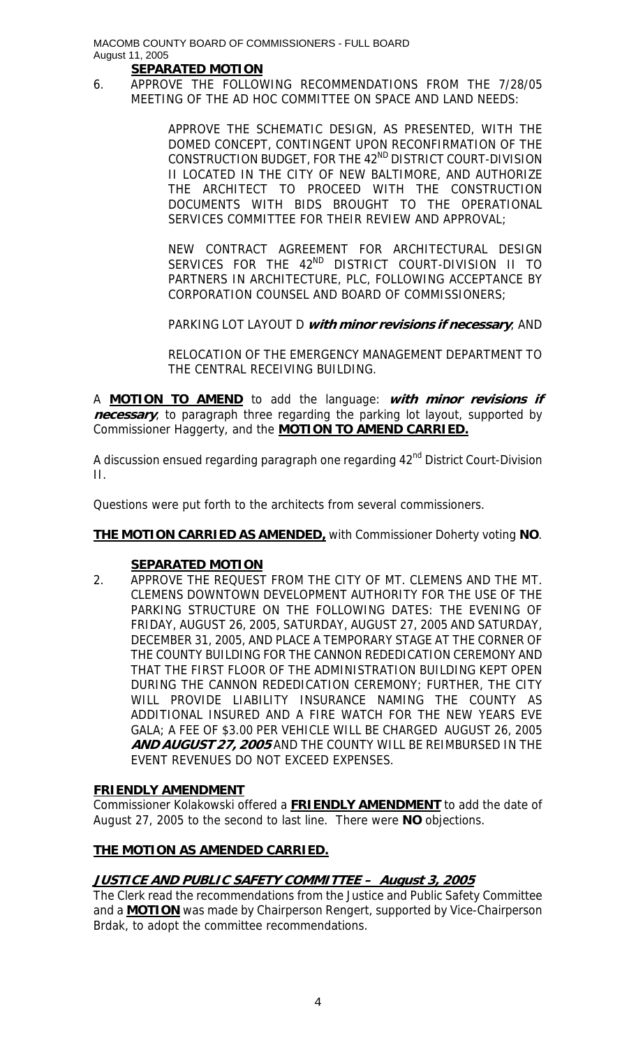# **SEPARATED MOTION**

6. APPROVE THE FOLLOWING RECOMMENDATIONS FROM THE 7/28/05 MEETING OF THE AD HOC COMMITTEE ON SPACE AND LAND NEEDS:

> APPROVE THE SCHEMATIC DESIGN, AS PRESENTED, WITH THE DOMED CONCEPT, CONTINGENT UPON RECONFIRMATION OF THE CONSTRUCTION BUDGET, FOR THE 42<sup>ND</sup> DISTRICT COURT-DIVISION II LOCATED IN THE CITY OF NEW BALTIMORE, AND AUTHORIZE THE ARCHITECT TO PROCEED WITH THE CONSTRUCTION DOCUMENTS WITH BIDS BROUGHT TO THE OPERATIONAL SERVICES COMMITTEE FOR THEIR REVIEW AND APPROVAL;

> NEW CONTRACT AGREEMENT FOR ARCHITECTURAL DESIGN SERVICES FOR THE 42<sup>ND</sup> DISTRICT COURT-DIVISION II TO PARTNERS IN ARCHITECTURE, PLC, FOLLOWING ACCEPTANCE BY CORPORATION COUNSEL AND BOARD OF COMMISSIONERS;

> PARKING LOT LAYOUT D **with minor revisions if necessary**; AND

RELOCATION OF THE EMERGENCY MANAGEMENT DEPARTMENT TO THE CENTRAL RECEIVING BUILDING.

A **MOTION TO AMEND** to add the language: **with minor revisions if necessary**, to paragraph three regarding the parking lot layout, supported by Commissioner Haggerty, and the **MOTION TO AMEND CARRIED.**

A discussion ensued regarding paragraph one regarding 42<sup>nd</sup> District Court-Division II.

Questions were put forth to the architects from several commissioners.

**THE MOTION CARRIED AS AMENDED,** with Commissioner Doherty voting **NO**.

### **SEPARATED MOTION**

2. APPROVE THE REQUEST FROM THE CITY OF MT. CLEMENS AND THE MT. CLEMENS DOWNTOWN DEVELOPMENT AUTHORITY FOR THE USE OF THE PARKING STRUCTURE ON THE FOLLOWING DATES: THE EVENING OF FRIDAY, AUGUST 26, 2005, SATURDAY, AUGUST 27, 2005 AND SATURDAY, DECEMBER 31, 2005, AND PLACE A TEMPORARY STAGE AT THE CORNER OF THE COUNTY BUILDING FOR THE CANNON REDEDICATION CEREMONY AND THAT THE FIRST FLOOR OF THE ADMINISTRATION BUILDING KEPT OPEN DURING THE CANNON REDEDICATION CEREMONY; FURTHER, THE CITY WILL PROVIDE LIABILITY INSURANCE NAMING THE COUNTY AS ADDITIONAL INSURED AND A FIRE WATCH FOR THE NEW YEARS EVE GALA; A FEE OF \$3.00 PER VEHICLE WILL BE CHARGED AUGUST 26, 2005 **AND AUGUST 27, 2005** AND THE COUNTY WILL BE REIMBURSED IN THE EVENT REVENUES DO NOT EXCEED EXPENSES.

### **FRIENDLY AMENDMENT**

Commissioner Kolakowski offered a **FRIENDLY AMENDMENT** to add the date of August 27, 2005 to the second to last line. There were **NO** objections.

## **THE MOTION AS AMENDED CARRIED.**

## **JUSTICE AND PUBLIC SAFETY COMMITTEE – August 3, 2005**

The Clerk read the recommendations from the Justice and Public Safety Committee and a **MOTION** was made by Chairperson Rengert, supported by Vice-Chairperson Brdak, to adopt the committee recommendations.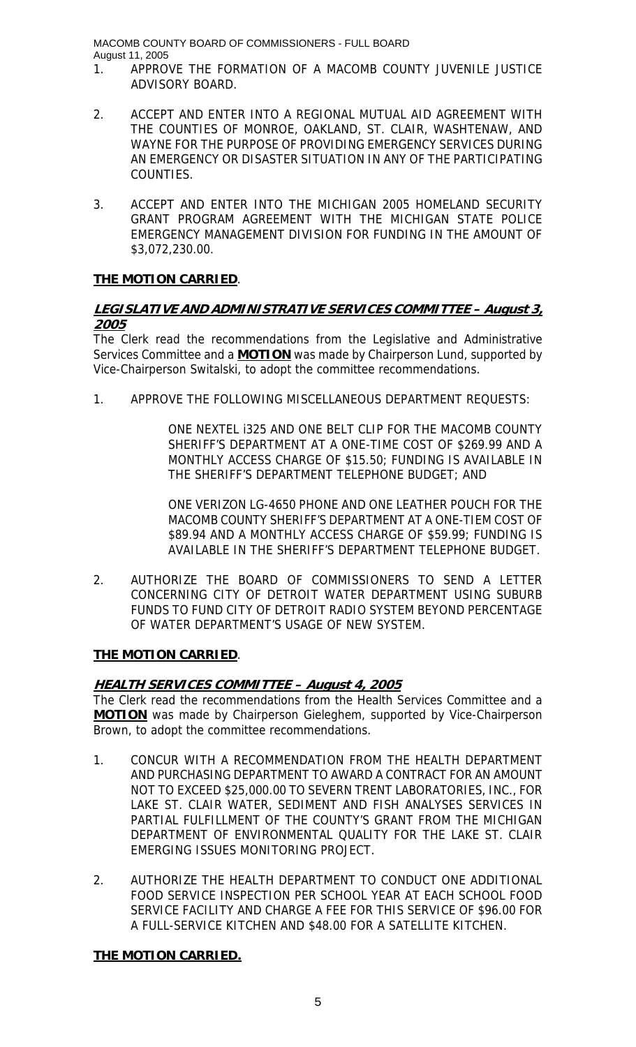MACOMB COUNTY BOARD OF COMMISSIONERS - FULL BOARD August 11, 2005

- 1. APPROVE THE FORMATION OF A MACOMB COUNTY JUVENILE JUSTICE ADVISORY BOARD.
- 2. ACCEPT AND ENTER INTO A REGIONAL MUTUAL AID AGREEMENT WITH THE COUNTIES OF MONROE, OAKLAND, ST. CLAIR, WASHTENAW, AND WAYNE FOR THE PURPOSE OF PROVIDING EMERGENCY SERVICES DURING AN EMERGENCY OR DISASTER SITUATION IN ANY OF THE PARTICIPATING COUNTIES.
- 3. ACCEPT AND ENTER INTO THE MICHIGAN 2005 HOMELAND SECURITY GRANT PROGRAM AGREEMENT WITH THE MICHIGAN STATE POLICE EMERGENCY MANAGEMENT DIVISION FOR FUNDING IN THE AMOUNT OF \$3,072,230.00.

## **THE MOTION CARRIED**.

## **LEGISLATIVE AND ADMINISTRATIVE SERVICES COMMITTEE – August 3, 2005**

The Clerk read the recommendations from the Legislative and Administrative Services Committee and a **MOTION** was made by Chairperson Lund, supported by Vice-Chairperson Switalski, to adopt the committee recommendations.

1. APPROVE THE FOLLOWING MISCELLANEOUS DEPARTMENT REQUESTS:

ONE NEXTEL i325 AND ONE BELT CLIP FOR THE MACOMB COUNTY SHERIFF'S DEPARTMENT AT A ONE-TIME COST OF \$269.99 AND A MONTHLY ACCESS CHARGE OF \$15.50; FUNDING IS AVAILABLE IN THE SHERIFF'S DEPARTMENT TELEPHONE BUDGET; AND

ONE VERIZON LG-4650 PHONE AND ONE LEATHER POUCH FOR THE MACOMB COUNTY SHERIFF'S DEPARTMENT AT A ONE-TIEM COST OF \$89.94 AND A MONTHLY ACCESS CHARGE OF \$59.99; FUNDING IS AVAILABLE IN THE SHERIFF'S DEPARTMENT TELEPHONE BUDGET.

2. AUTHORIZE THE BOARD OF COMMISSIONERS TO SEND A LETTER CONCERNING CITY OF DETROIT WATER DEPARTMENT USING SUBURB FUNDS TO FUND CITY OF DETROIT RADIO SYSTEM BEYOND PERCENTAGE OF WATER DEPARTMENT'S USAGE OF NEW SYSTEM.

## **THE MOTION CARRIED**.

# **HEALTH SERVICES COMMITTEE – August 4, 2005**

The Clerk read the recommendations from the Health Services Committee and a **MOTION** was made by Chairperson Gieleghem, supported by Vice-Chairperson Brown, to adopt the committee recommendations.

- 1. CONCUR WITH A RECOMMENDATION FROM THE HEALTH DEPARTMENT AND PURCHASING DEPARTMENT TO AWARD A CONTRACT FOR AN AMOUNT NOT TO EXCEED \$25,000.00 TO SEVERN TRENT LABORATORIES, INC., FOR LAKE ST. CLAIR WATER, SEDIMENT AND FISH ANALYSES SERVICES IN PARTIAL FULFILLMENT OF THE COUNTY'S GRANT FROM THE MICHIGAN DEPARTMENT OF ENVIRONMENTAL QUALITY FOR THE LAKE ST. CLAIR EMERGING ISSUES MONITORING PROJECT.
- 2. AUTHORIZE THE HEALTH DEPARTMENT TO CONDUCT ONE ADDITIONAL FOOD SERVICE INSPECTION PER SCHOOL YEAR AT EACH SCHOOL FOOD SERVICE FACILITY AND CHARGE A FEE FOR THIS SERVICE OF \$96.00 FOR A FULL-SERVICE KITCHEN AND \$48.00 FOR A SATELLITE KITCHEN.

# **THE MOTION CARRIED.**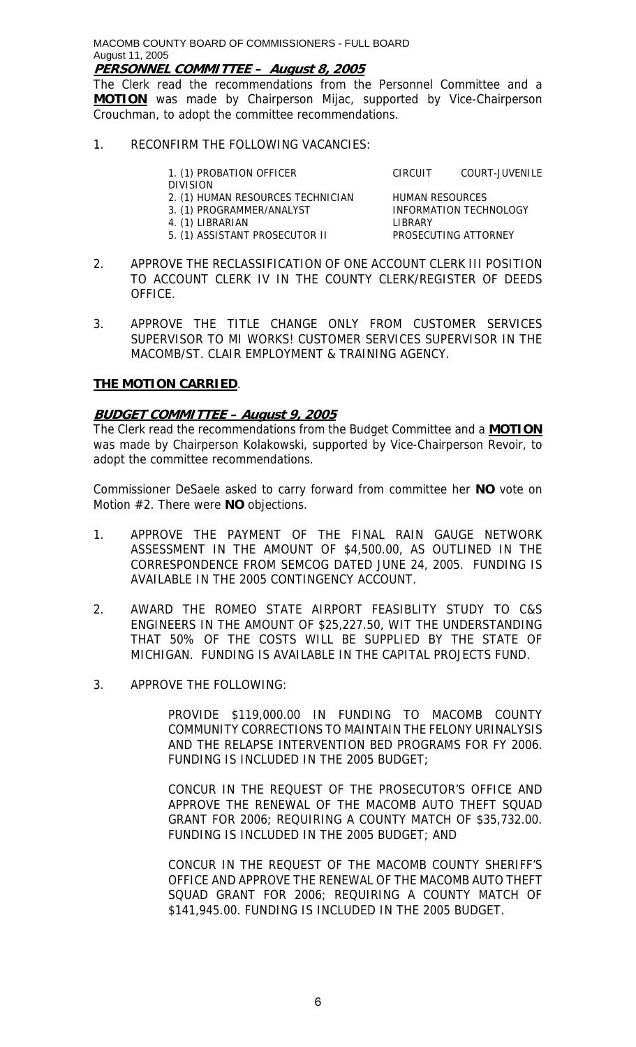**PERSONNEL COMMITTEE – August 8, 2005**

The Clerk read the recommendations from the Personnel Committee and a **MOTION** was made by Chairperson Mijac, supported by Vice-Chairperson Crouchman, to adopt the committee recommendations.

1. RECONFIRM THE FOLLOWING VACANCIES:

1. (1) PROBATION OFFICER CIRCUIT COURT-JUVENILE DIVISION 2. (1) HUMAN RESOURCES TECHNICIAN HUMAN RESOURCES 3. (1) PROGRAMMER/ANALYST INFORMATION TECHNOLOGY 4. (1) LIBRARIAN LIBRARY 5. (1) ASSISTANT PROSECUTOR II

- 2. APPROVE THE RECLASSIFICATION OF ONE ACCOUNT CLERK III POSITION TO ACCOUNT CLERK IV IN THE COUNTY CLERK/REGISTER OF DEEDS OFFICE.
- 3. APPROVE THE TITLE CHANGE ONLY FROM CUSTOMER SERVICES SUPERVISOR TO MI WORKS! CUSTOMER SERVICES SUPERVISOR IN THE MACOMB/ST. CLAIR EMPLOYMENT & TRAINING AGENCY.

## **THE MOTION CARRIED**.

## **BUDGET COMMITTEE – August 9, 2005**

The Clerk read the recommendations from the Budget Committee and a **MOTION** was made by Chairperson Kolakowski, supported by Vice-Chairperson Revoir, to adopt the committee recommendations.

Commissioner DeSaele asked to carry forward from committee her **NO** vote on Motion #2. There were **NO** objections.

- 1. APPROVE THE PAYMENT OF THE FINAL RAIN GAUGE NETWORK ASSESSMENT IN THE AMOUNT OF \$4,500.00, AS OUTLINED IN THE CORRESPONDENCE FROM SEMCOG DATED JUNE 24, 2005. FUNDING IS AVAILABLE IN THE 2005 CONTINGENCY ACCOUNT.
- 2. AWARD THE ROMEO STATE AIRPORT FEASIBLITY STUDY TO C&S ENGINEERS IN THE AMOUNT OF \$25,227.50, WIT THE UNDERSTANDING THAT 50% OF THE COSTS WILL BE SUPPLIED BY THE STATE OF MICHIGAN. FUNDING IS AVAILABLE IN THE CAPITAL PROJECTS FUND.
- 3. APPROVE THE FOLLOWING:

PROVIDE \$119,000.00 IN FUNDING TO MACOMB COUNTY COMMUNITY CORRECTIONS TO MAINTAIN THE FELONY URINALYSIS AND THE RELAPSE INTERVENTION BED PROGRAMS FOR FY 2006. FUNDING IS INCLUDED IN THE 2005 BUDGET;

CONCUR IN THE REQUEST OF THE PROSECUTOR'S OFFICE AND APPROVE THE RENEWAL OF THE MACOMB AUTO THEFT SQUAD GRANT FOR 2006; REQUIRING A COUNTY MATCH OF \$35,732.00. FUNDING IS INCLUDED IN THE 2005 BUDGET; AND

CONCUR IN THE REQUEST OF THE MACOMB COUNTY SHERIFF'S OFFICE AND APPROVE THE RENEWAL OF THE MACOMB AUTO THEFT SQUAD GRANT FOR 2006; REQUIRING A COUNTY MATCH OF \$141,945.00. FUNDING IS INCLUDED IN THE 2005 BUDGET.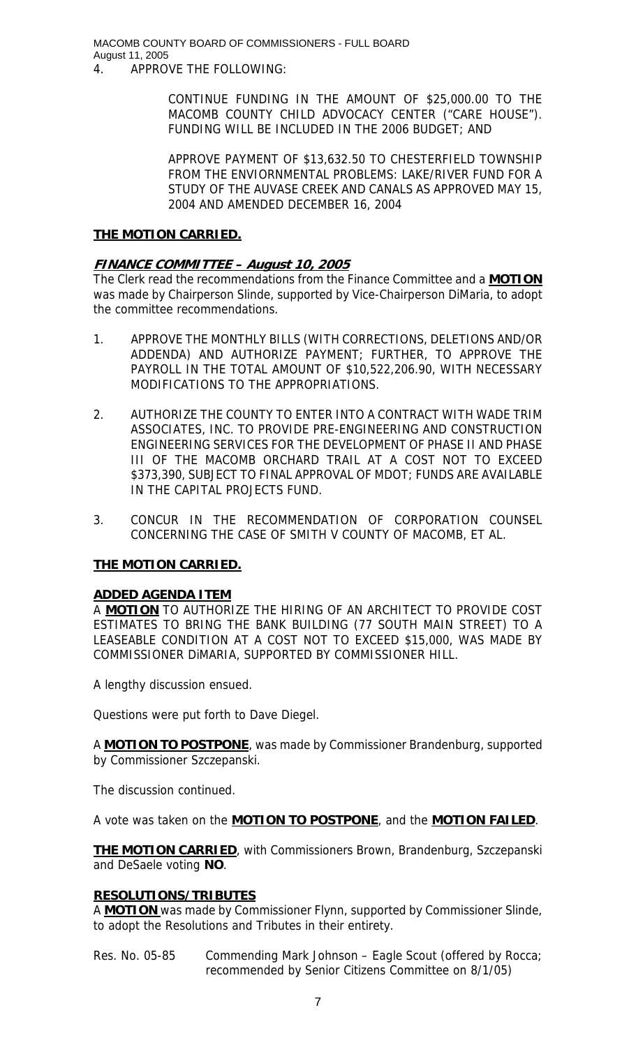MACOMB COUNTY BOARD OF COMMISSIONERS - FULL BOARD August 11, 2005

4. APPROVE THE FOLLOWING:

CONTINUE FUNDING IN THE AMOUNT OF \$25,000.00 TO THE MACOMB COUNTY CHILD ADVOCACY CENTER ("CARE HOUSE"). FUNDING WILL BE INCLUDED IN THE 2006 BUDGET; AND

APPROVE PAYMENT OF \$13,632.50 TO CHESTERFIELD TOWNSHIP FROM THE ENVIORNMENTAL PROBLEMS: LAKE/RIVER FUND FOR A STUDY OF THE AUVASE CREEK AND CANALS AS APPROVED MAY 15, 2004 AND AMENDED DECEMBER 16, 2004

### **THE MOTION CARRIED.**

## **FINANCE COMMITTEE – August 10, 2005**

The Clerk read the recommendations from the Finance Committee and a **MOTION** was made by Chairperson Slinde, supported by Vice-Chairperson DiMaria, to adopt the committee recommendations.

- 1. APPROVE THE MONTHLY BILLS (WITH CORRECTIONS, DELETIONS AND/OR ADDENDA) AND AUTHORIZE PAYMENT; FURTHER, TO APPROVE THE PAYROLL IN THE TOTAL AMOUNT OF \$10,522,206.90, WITH NECESSARY MODIFICATIONS TO THE APPROPRIATIONS.
- 2. AUTHORIZE THE COUNTY TO ENTER INTO A CONTRACT WITH WADE TRIM ASSOCIATES, INC. TO PROVIDE PRE-ENGINEERING AND CONSTRUCTION ENGINEERING SERVICES FOR THE DEVELOPMENT OF PHASE II AND PHASE III OF THE MACOMB ORCHARD TRAIL AT A COST NOT TO EXCEED \$373,390, SUBJECT TO FINAL APPROVAL OF MDOT; FUNDS ARE AVAILABLE IN THE CAPITAL PROJECTS FUND.
- 3. CONCUR IN THE RECOMMENDATION OF CORPORATION COUNSEL CONCERNING THE CASE OF SMITH V COUNTY OF MACOMB, ET AL.

## **THE MOTION CARRIED.**

### **ADDED AGENDA ITEM**

A **MOTION** TO AUTHORIZE THE HIRING OF AN ARCHITECT TO PROVIDE COST ESTIMATES TO BRING THE BANK BUILDING (77 SOUTH MAIN STREET) TO A LEASEABLE CONDITION AT A COST NOT TO EXCEED \$15,000, WAS MADE BY COMMISSIONER DiMARIA, SUPPORTED BY COMMISSIONER HILL.

A lengthy discussion ensued.

Questions were put forth to Dave Diegel.

A **MOTION TO POSTPONE**, was made by Commissioner Brandenburg, supported by Commissioner Szczepanski.

The discussion continued.

A vote was taken on the **MOTION TO POSTPONE**, and the **MOTION FAILED**.

**THE MOTION CARRIED**, with Commissioners Brown, Brandenburg, Szczepanski and DeSaele voting **NO**.

## **RESOLUTIONS/TRIBUTES**

A **MOTION** was made by Commissioner Flynn, supported by Commissioner Slinde, to adopt the Resolutions and Tributes in their entirety.

Res. No. 05-85 Commending Mark Johnson – Eagle Scout (offered by Rocca; recommended by Senior Citizens Committee on 8/1/05)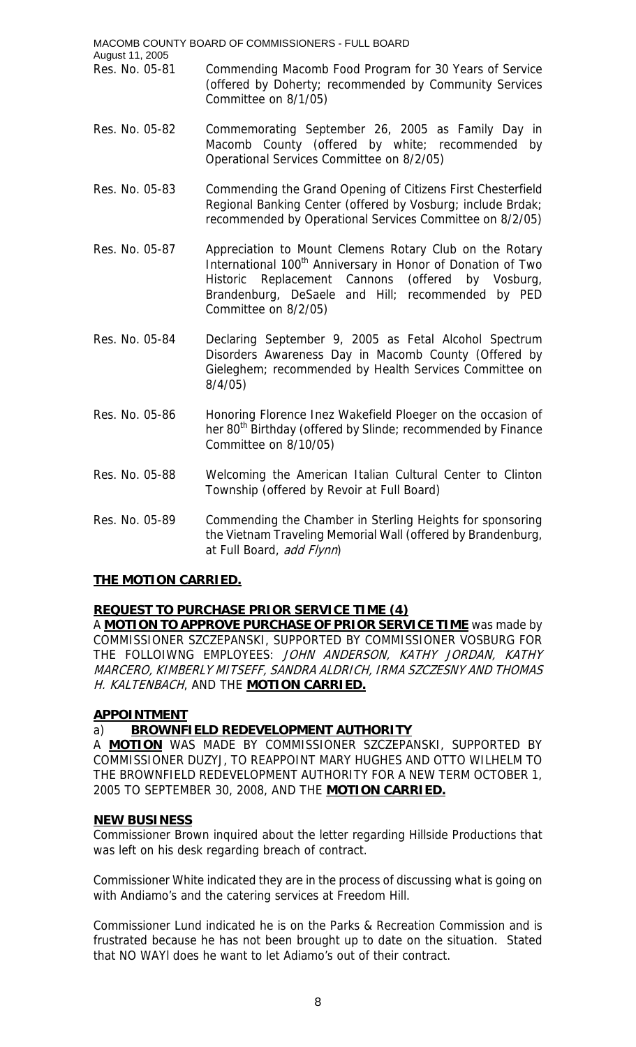- MACOMB COUNTY BOARD OF COMMISSIONERS FULL BOARD August 11, 2005 Res. No. 05-81 Commending Macomb Food Program for 30 Years of Service (offered by Doherty; recommended by Community Services Committee on 8/1/05)
- Res. No. 05-82 Commemorating September 26, 2005 as Family Day in Macomb County (offered by white; recommended by Operational Services Committee on 8/2/05)
- Res. No. 05-83 Commending the Grand Opening of Citizens First Chesterfield Regional Banking Center (offered by Vosburg; include Brdak; recommended by Operational Services Committee on 8/2/05)
- Res. No. 05-87 Appreciation to Mount Clemens Rotary Club on the Rotary International 100<sup>th</sup> Anniversary in Honor of Donation of Two Historic Replacement Cannons (offered by Vosburg, Brandenburg, DeSaele and Hill; recommended by PED Committee on 8/2/05)
- Res. No. 05-84 Declaring September 9, 2005 as Fetal Alcohol Spectrum Disorders Awareness Day in Macomb County (Offered by Gieleghem; recommended by Health Services Committee on 8/4/05)
- Res. No. 05-86 Honoring Florence Inez Wakefield Ploeger on the occasion of her 80<sup>th</sup> Birthday (offered by Slinde; recommended by Finance Committee on 8/10/05)
- Res. No. 05-88 Welcoming the American Italian Cultural Center to Clinton Township (offered by Revoir at Full Board)
- Res. No. 05-89 Commending the Chamber in Sterling Heights for sponsoring the Vietnam Traveling Memorial Wall (offered by Brandenburg, at Full Board, add Flynn)

# **THE MOTION CARRIED.**

# **REQUEST TO PURCHASE PRIOR SERVICE TIME (4)**

A **MOTION TO APPROVE PURCHASE OF PRIOR SERVICE TIME** was made by COMMISSIONER SZCZEPANSKI, SUPPORTED BY COMMISSIONER VOSBURG FOR THE FOLLOIWNG EMPLOYEES: JOHN ANDERSON, KATHY JORDAN, KATHY MARCERO, KIMBERLY MITSEFF, SANDRA ALDRICH, IRMA SZCZESNY AND THOMAS H. KALTENBACH, AND THE **MOTION CARRIED.**

# **APPOINTMENT**

# a) **BROWNFIELD REDEVELOPMENT AUTHORITY**

A **MOTION** WAS MADE BY COMMISSIONER SZCZEPANSKI, SUPPORTED BY COMMISSIONER DUZYJ, TO REAPPOINT MARY HUGHES AND OTTO WILHELM TO THE BROWNFIELD REDEVELOPMENT AUTHORITY FOR A NEW TERM OCTOBER 1, 2005 TO SEPTEMBER 30, 2008, AND THE **MOTION CARRIED.**

## **NEW BUSINESS**

Commissioner Brown inquired about the letter regarding Hillside Productions that was left on his desk regarding breach of contract.

Commissioner White indicated they are in the process of discussing what is going on with Andiamo's and the catering services at Freedom Hill.

Commissioner Lund indicated he is on the Parks & Recreation Commission and is frustrated because he has not been brought up to date on the situation. Stated that NO WAYl does he want to let Adiamo's out of their contract.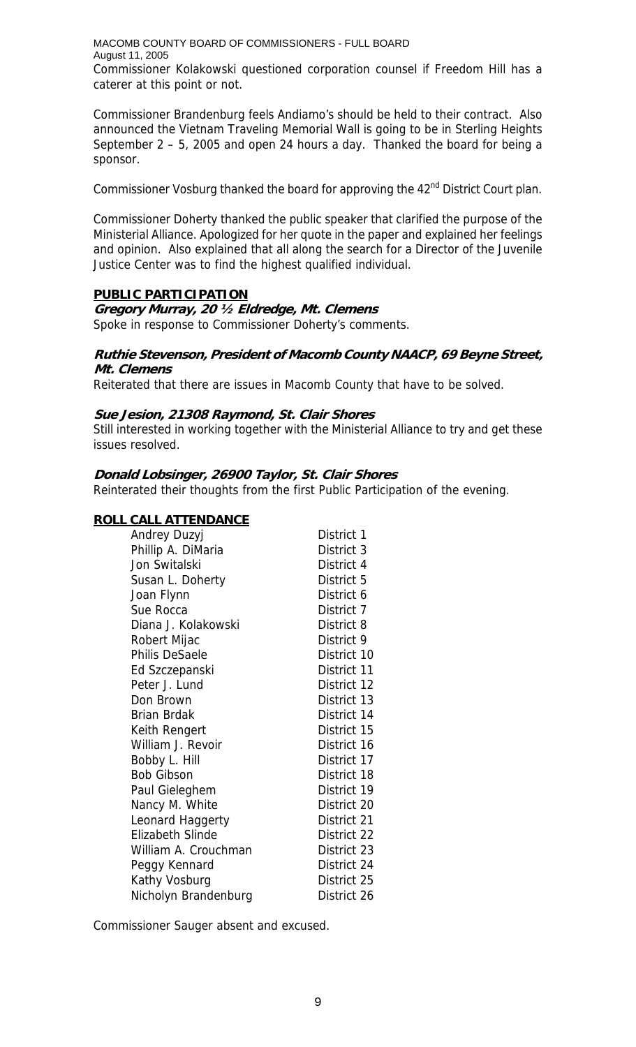MACOMB COUNTY BOARD OF COMMISSIONERS - FULL BOARD August 11, 2005 Commissioner Kolakowski questioned corporation counsel if Freedom Hill has a caterer at this point or not.

Commissioner Brandenburg feels Andiamo's should be held to their contract. Also announced the Vietnam Traveling Memorial Wall is going to be in Sterling Heights September 2 – 5, 2005 and open 24 hours a day. Thanked the board for being a sponsor.

Commissioner Vosburg thanked the board for approving the 42<sup>nd</sup> District Court plan.

Commissioner Doherty thanked the public speaker that clarified the purpose of the Ministerial Alliance. Apologized for her quote in the paper and explained her feelings and opinion. Also explained that all along the search for a Director of the Juvenile Justice Center was to find the highest qualified individual.

## **PUBLIC PARTICIPATION**

### **Gregory Murray, 20 ½ Eldredge, Mt. Clemens**

Spoke in response to Commissioner Doherty's comments.

### **Ruthie Stevenson, President of Macomb County NAACP, 69 Beyne Street, Mt. Clemens**

Reiterated that there are issues in Macomb County that have to be solved.

### **Sue Jesion, 21308 Raymond, St. Clair Shores**

Still interested in working together with the Ministerial Alliance to try and get these issues resolved.

### **Donald Lobsinger, 26900 Taylor, St. Clair Shores**

Reinterated their thoughts from the first Public Participation of the evening.

## **ROLL CALL ATTENDANCE**

| Andrey Duzyj            | District 1  |
|-------------------------|-------------|
| Phillip A. DiMaria      | District 3  |
| Jon Switalski           | District 4  |
| Susan L. Doherty        | District 5  |
| Joan Flynn              | District 6  |
| Sue Rocca               | District 7  |
| Diana J. Kolakowski     | District 8  |
| Robert Mijac            | District 9  |
| <b>Philis DeSaele</b>   | District 10 |
| Ed Szczepanski          | District 11 |
| Peter J. Lund           | District 12 |
| Don Brown               | District 13 |
| Brian Brdak             | District 14 |
| Keith Rengert           | District 15 |
| William J. Revoir       | District 16 |
| Bobby L. Hill           | District 17 |
| <b>Bob Gibson</b>       | District 18 |
| Paul Gieleghem          | District 19 |
| Nancy M. White          | District 20 |
| Leonard Haggerty        | District 21 |
| <b>Elizabeth Slinde</b> | District 22 |
| William A. Crouchman    | District 23 |
| Peggy Kennard           | District 24 |
| Kathy Vosburg           | District 25 |
| Nicholyn Brandenburg    | District 26 |

Commissioner Sauger absent and excused.